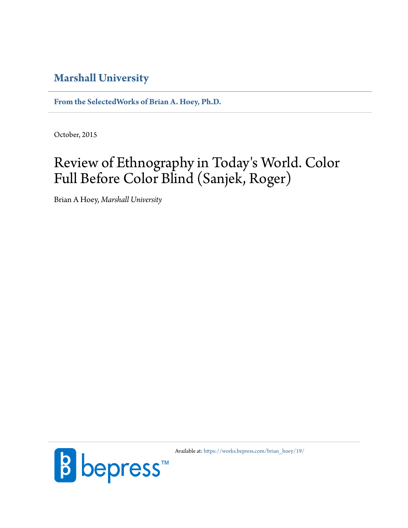## **[Marshall University](http://www.marshall.edu/)**

**[From the SelectedWorks of Brian A. Hoey, Ph.D.](https://works.bepress.com/brian_hoey/)**

October, 2015

## Review of Ethnography in Today 's World. Color Full Before Color Blind (Sanjek, Roger)

Brian A Hoey, *Marshall University*



Available at: [https://works.bepress.com/brian\\_hoey/19/](https://works.bepress.com/brian_hoey/19/)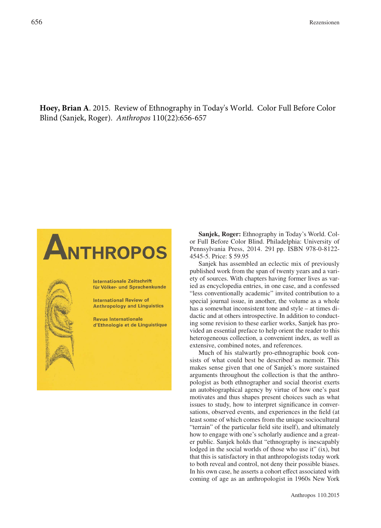**Hoey, Brian A**. 2015. Review of Ethnography in Today's World. Color Full Before Color Blind (Sanjek, Roger). *Anthropos* 110(22):656-657

## ANTHROPOS

**Internationale Zeitschrift** für Völker- und Sprachenkunde

International Review of **Anthropology and Linguistics** 

**Revue Internationale** d'Ethnologie et de Linguistique

**Sanjek, Roger:** Ethnography in Today's World. Color Full Before Color Blind. Philadelphia: University of Pennsylvania Press, 2014. 291 pp. ISBN 978-0-8122- 4545-5. Price: \$ 59.95

Sanjek has assembled an eclectic mix of previously published work from the span of twenty years and a variety of sources. With chapters having former lives as varied as encyclopedia entries, in one case, and a confessed "less conventionally academic" invited contribution to a special journal issue, in another, the volume as a whole has a somewhat inconsistent tone and style – at times didactic and at others introspective. In addition to conducting some revision to these earlier works, Sanjek has provided an essential preface to help orient the reader to this heterogeneous collection, a convenient index, as well as extensive, combined notes, and references.

Much of his stalwartly pro-ethnographic book consists of what could best be described as memoir. This makes sense given that one of Sanjek's more sustained arguments throughout the collection is that the anthropologist as both ethnographer and social theorist exerts an autobiographical agency by virtue of how one's past motivates and thus shapes present choices such as what issues to study, how to interpret significance in conversations, observed events, and experiences in the field (at least some of which comes from the unique sociocultural "terrain" of the particular field site itself), and ultimately how to engage with one's scholarly audience and a greater public. Sanjek holds that "ethnography is inescapably lodged in the social worlds of those who use it" (ix), but that this is satisfactory in that anthropologists today work to both reveal and control, not deny their possible biases. In his own case, he asserts a cohort effect associated with coming of age as an anthropologist in 1960s New York